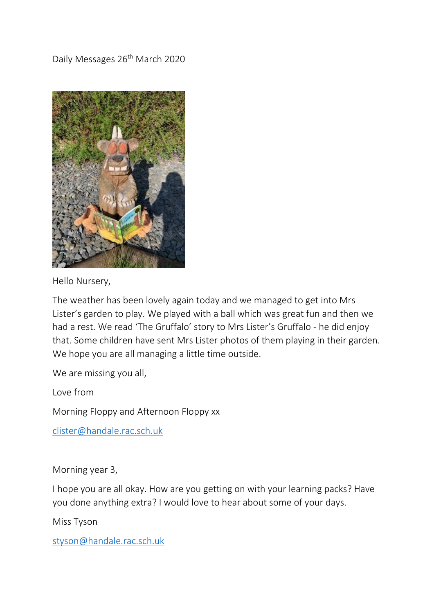Daily Messages 26<sup>th</sup> March 2020



Hello Nursery,

The weather has been lovely again today and we managed to get into Mrs Lister's garden to play. We played with a ball which was great fun and then we had a rest. We read 'The Gruffalo' story to Mrs Lister's Gruffalo - he did enjoy that. Some children have sent Mrs Lister photos of them playing in their garden. We hope you are all managing a little time outside.

We are missing you all,

Love from

Morning Floppy and Afternoon Floppy xx

[clister@handale.rac.sch.uk](mailto:clister@handale.rac.sch.uk)

Morning year 3,

I hope you are all okay. How are you getting on with your learning packs? Have you done anything extra? I would love to hear about some of your days.

Miss Tyson

[styson@handale.rac.sch.uk](mailto:styson@handale.rac.sch.uk)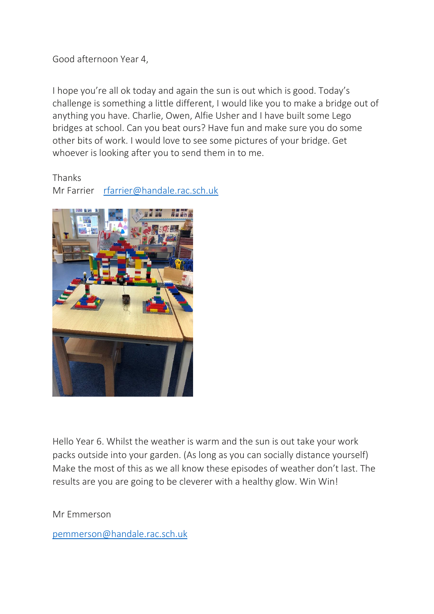Good afternoon Year 4,

I hope you're all ok today and again the sun is out which is good. Today's challenge is something a little different, I would like you to make a bridge out of anything you have. Charlie, Owen, Alfie Usher and I have built some Lego bridges at school. Can you beat ours? Have fun and make sure you do some other bits of work. I would love to see some pictures of your bridge. Get whoever is looking after you to send them in to me.

Thanks

Mr Farrier [rfarrier@handale.rac.sch.uk](mailto:rfarrier@handale.rac.sch.uk)



Hello Year 6. Whilst the weather is warm and the sun is out take your work packs outside into your garden. (As long as you can socially distance yourself) Make the most of this as we all know these episodes of weather don't last. The results are you are going to be cleverer with a healthy glow. Win Win!

Mr Emmerson

[pemmerson@handale.rac.sch.uk](mailto:pemmerson@handale.rac.sch.uk)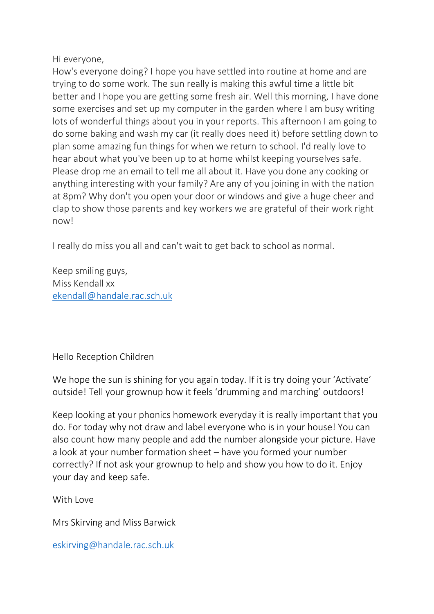## Hi everyone,

How's everyone doing? I hope you have settled into routine at home and are trying to do some work. The sun really is making this awful time a little bit better and I hope you are getting some fresh air. Well this morning, I have done some exercises and set up my computer in the garden where I am busy writing lots of wonderful things about you in your reports. This afternoon I am going to do some baking and wash my car (it really does need it) before settling down to plan some amazing fun things for when we return to school. I'd really love to hear about what you've been up to at home whilst keeping yourselves safe. Please drop me an email to tell me all about it. Have you done any cooking or anything interesting with your family? Are any of you joining in with the nation at 8pm? Why don't you open your door or windows and give a huge cheer and clap to show those parents and key workers we are grateful of their work right now!

I really do miss you all and can't wait to get back to school as normal.

Keep smiling guys, Miss Kendall xx [ekendall@handale.rac.sch.uk](mailto:ekendall@handale.rac.sch.uk)

## Hello Reception Children

We hope the sun is shining for you again today. If it is try doing your 'Activate' outside! Tell your grownup how it feels 'drumming and marching' outdoors!

Keep looking at your phonics homework everyday it is really important that you do. For today why not draw and label everyone who is in your house! You can also count how many people and add the number alongside your picture. Have a look at your number formation sheet – have you formed your number correctly? If not ask your grownup to help and show you how to do it. Enjoy your day and keep safe.

With Love

Mrs Skirving and Miss Barwick

[eskirving@handale.rac.sch.uk](mailto:eskirving@handale.rac.sch.uk)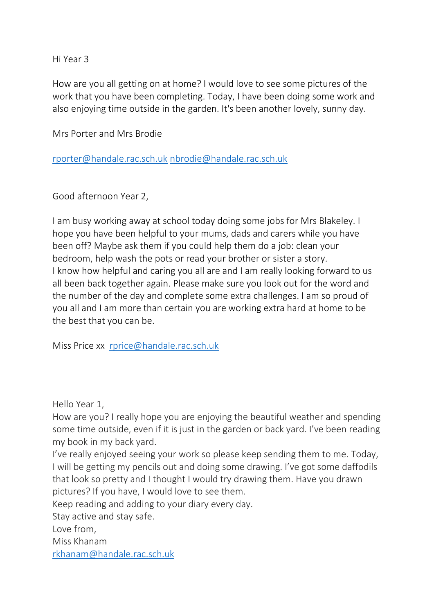Hi Year 3

How are you all getting on at home? I would love to see some pictures of the work that you have been completing. Today, I have been doing some work and also enjoying time outside in the garden. It's been another lovely, sunny day.

Mrs Porter and Mrs Brodie

[rporter@handale.rac.sch.uk](mailto:rporter@handale.rac.sch.uk) [nbrodie@handale.rac.sch.uk](mailto:nbrodie@handale.rac.sch.uk)

Good afternoon Year 2,

I am busy working away at school today doing some jobs for Mrs Blakeley. I hope you have been helpful to your mums, dads and carers while you have been off? Maybe ask them if you could help them do a job: clean your bedroom, help wash the pots or read your brother or sister a story. I know how helpful and caring you all are and I am really looking forward to us all been back together again. Please make sure you look out for the word and the number of the day and complete some extra challenges. I am so proud of you all and I am more than certain you are working extra hard at home to be the best that you can be.

Miss Price xx [rprice@handale.rac.sch.uk](mailto:rprice@handale.rac.sch.uk)

Hello Year 1,

How are you? I really hope you are enjoying the beautiful weather and spending some time outside, even if it is just in the garden or back yard. I've been reading my book in my back yard.

I've really enjoyed seeing your work so please keep sending them to me. Today, I will be getting my pencils out and doing some drawing. I've got some daffodils that look so pretty and I thought I would try drawing them. Have you drawn pictures? If you have, I would love to see them.

Keep reading and adding to your diary every day.

Stay active and stay safe.

Love from,

Miss Khanam

[rkhanam@handale.rac.sch.uk](mailto:rkhanam@handale.rac.sch.uk)